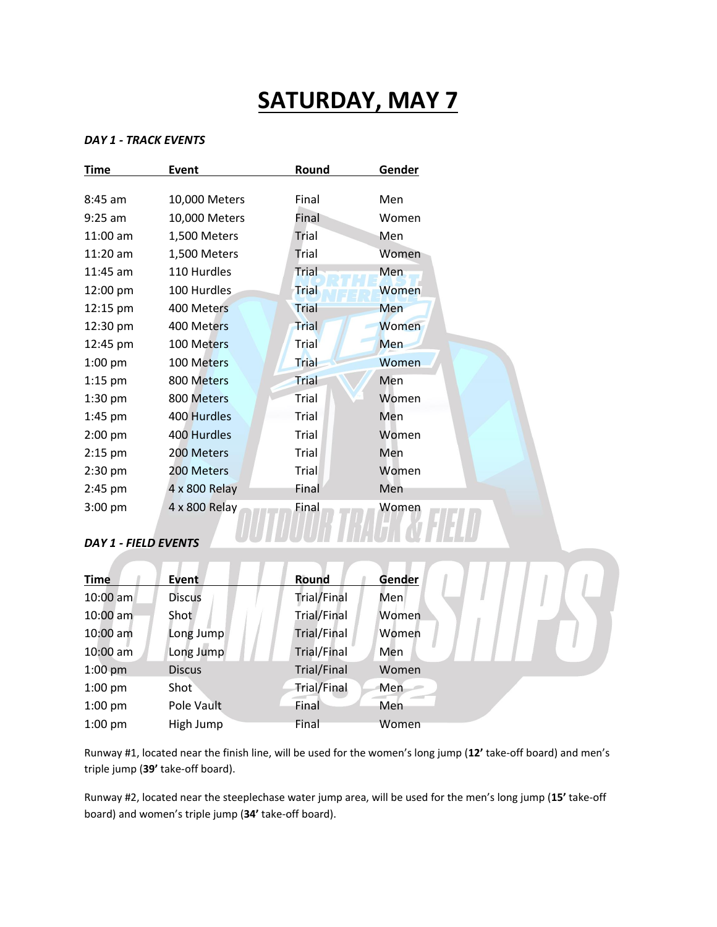# **SATURDAY, MAY 7**

### *DAY 1 - TRACK EVENTS*

| <b>Time</b>                                                                                                                                                                                                                                                                                                                                                                           | <b>Event</b>  | <b>Round</b> | Gender |  |
|---------------------------------------------------------------------------------------------------------------------------------------------------------------------------------------------------------------------------------------------------------------------------------------------------------------------------------------------------------------------------------------|---------------|--------------|--------|--|
|                                                                                                                                                                                                                                                                                                                                                                                       |               |              |        |  |
| 8:45 am                                                                                                                                                                                                                                                                                                                                                                               | 10,000 Meters | Final        | Men    |  |
| $9:25$ am                                                                                                                                                                                                                                                                                                                                                                             | 10,000 Meters | Final        | Women  |  |
| 11:00 am                                                                                                                                                                                                                                                                                                                                                                              | 1,500 Meters  | Trial        | Men    |  |
| $11:20$ am                                                                                                                                                                                                                                                                                                                                                                            | 1,500 Meters  | Trial        | Women  |  |
| 11:45 am                                                                                                                                                                                                                                                                                                                                                                              | 110 Hurdles   | Trial        | Men    |  |
| 12:00 pm                                                                                                                                                                                                                                                                                                                                                                              | 100 Hurdles   | <b>Trial</b> | Women  |  |
| 12:15 pm                                                                                                                                                                                                                                                                                                                                                                              | 400 Meters    | <b>Trial</b> | Men    |  |
| 12:30 pm                                                                                                                                                                                                                                                                                                                                                                              | 400 Meters    | Trial        | Women  |  |
| 12:45 pm                                                                                                                                                                                                                                                                                                                                                                              | 100 Meters    | Trial        | Men    |  |
| $1:00$ pm                                                                                                                                                                                                                                                                                                                                                                             | 100 Meters    | <b>Trial</b> | Women  |  |
| $1:15$ pm                                                                                                                                                                                                                                                                                                                                                                             | 800 Meters    | <b>Trial</b> | Men    |  |
| $1:30$ pm                                                                                                                                                                                                                                                                                                                                                                             | 800 Meters    | Trial        | Women  |  |
| $1:45$ pm                                                                                                                                                                                                                                                                                                                                                                             | 400 Hurdles   | Trial        | Men    |  |
| 2:00 pm                                                                                                                                                                                                                                                                                                                                                                               | 400 Hurdles   | Trial        | Women  |  |
| $2:15$ pm                                                                                                                                                                                                                                                                                                                                                                             | 200 Meters    | Trial        | Men    |  |
| $2:30$ pm                                                                                                                                                                                                                                                                                                                                                                             | 200 Meters    | Trial        | Women  |  |
| $2:45$ pm                                                                                                                                                                                                                                                                                                                                                                             | 4 x 800 Relay | Final        | Men    |  |
| $3:00$ pm                                                                                                                                                                                                                                                                                                                                                                             | 4 x 800 Relay | Final        | Women  |  |
|                                                                                                                                                                                                                                                                                                                                                                                       |               |              |        |  |
| $\overline{N}$ $\overline{N}$ $\overline{N}$ $\overline{N}$ $\overline{N}$ $\overline{N}$ $\overline{N}$ $\overline{N}$ $\overline{N}$ $\overline{N}$ $\overline{N}$ $\overline{N}$ $\overline{N}$ $\overline{N}$ $\overline{N}$ $\overline{N}$ $\overline{N}$ $\overline{N}$ $\overline{N}$ $\overline{N}$ $\overline{N}$ $\overline{N}$ $\overline{N}$ $\overline{N}$ $\overline{N$ |               |              |        |  |

## *DAY 1 - FIELD EVENTS*

A

| <b>Time</b> | Event         | Round              | Gender |
|-------------|---------------|--------------------|--------|
| $10:00$ am  | <b>Discus</b> | Trial/Final        | Men    |
| $10:00$ am  | Shot          | <b>Trial/Final</b> | Women  |
| 10:00 am    | Long Jump     | Trial/Final        | Women  |
| $10:00$ am  | Long Jump     | <b>Trial/Final</b> | Men    |
| $1:00$ pm   | <b>Discus</b> | Trial/Final        | Women  |
| $1:00$ pm   | Shot          | <b>Trial/Final</b> | Men    |
| $1:00$ pm   | Pole Vault    | Final              | Men    |
| $1:00$ pm   | High Jump     | Final              | Women  |

Runway #1, located near the finish line, will be used for the women's long jump (**12'** take-off board) and men's triple jump (**39'** take-off board).

Runway #2, located near the steeplechase water jump area, will be used for the men's long jump (**15'** take-off board) and women's triple jump (**34'** take-off board).